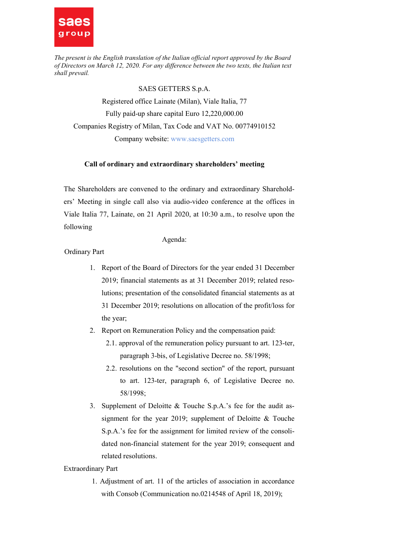

### SAES GETTERS S.p.A.

Registered office Lainate (Milan), Viale Italia, 77 Fully paid-up share capital Euro 12,220,000.00 Companies Registry of Milan, Tax Code and VAT No. 00774910152 Company website: www.saesgetters.com

### Call of ordinary and extraordinary shareholders' meeting

The Shareholders are convened to the ordinary and extraordinary Shareholders' Meeting in single call also via audio-video conference at the offices in Viale Italia 77, Lainate, on 21 April 2020, at 10:30 a.m., to resolve upon the following

#### Agenda:

Ordinary Part

- 1. Report of the Board of Directors for the year ended 31 December 2019; financial statements as at 31 December 2019; related resolutions; presentation of the consolidated financial statements as at 31 December 2019; resolutions on allocation of the profit/loss for the year;
- 2. Report on Remuneration Policy and the compensation paid:
	- 2.1. approval of the remuneration policy pursuant to art. 123-ter, paragraph 3-bis, of Legislative Decree no. 58/1998;
	- 2.2. resolutions on the "second section" of the report, pursuant to art. 123-ter, paragraph 6, of Legislative Decree no. 58/1998;
- 3. Supplement of Deloitte & Touche S.p.A.'s fee for the audit assignment for the year 2019; supplement of Deloitte & Touche S.p.A.'s fee for the assignment for limited review of the consolidated non-financial statement for the year 2019; consequent and related resolutions.

Extraordinary Part

1. Adjustment of art. 11 of the articles of association in accordance with Consob (Communication no.0214548 of April 18, 2019);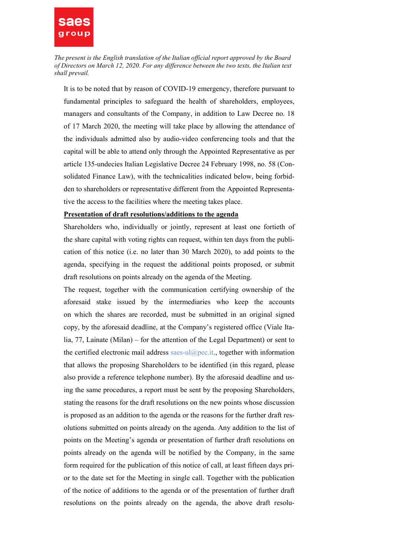

It is to be noted that by reason of COVID-19 emergency, therefore pursuant to fundamental principles to safeguard the health of shareholders, employees, managers and consultants of the Company, in addition to Law Decree no. 18 of 17 March 2020, the meeting will take place by allowing the attendance of the individuals admitted also by audio-video conferencing tools and that the capital will be able to attend only through the Appointed Representative as per article 135-undecies Italian Legislative Decree 24 February 1998, no. 58 (Consolidated Finance Law), with the technicalities indicated below, being forbidden to shareholders or representative different from the Appointed Representative the access to the facilities where the meeting takes place.

### Presentation of draft resolutions/additions to the agenda

Shareholders who, individually or jointly, represent at least one fortieth of the share capital with voting rights can request, within ten days from the publication of this notice (i.e. no later than 30 March 2020), to add points to the agenda, specifying in the request the additional points proposed, or submit draft resolutions on points already on the agenda of the Meeting.

The request, together with the communication certifying ownership of the aforesaid stake issued by the intermediaries who keep the accounts on which the shares are recorded, must be submitted in an original signed copy, by the aforesaid deadline, at the Company's registered office (Viale Italia, 77, Lainate (Milan) – for the attention of the Legal Department) or sent to the certified electronic mail address saes-ul@pec.it., together with information that allows the proposing Shareholders to be identified (in this regard, please also provide a reference telephone number). By the aforesaid deadline and using the same procedures, a report must be sent by the proposing Shareholders, stating the reasons for the draft resolutions on the new points whose discussion is proposed as an addition to the agenda or the reasons for the further draft resolutions submitted on points already on the agenda. Any addition to the list of points on the Meeting's agenda or presentation of further draft resolutions on points already on the agenda will be notified by the Company, in the same form required for the publication of this notice of call, at least fifteen days prior to the date set for the Meeting in single call. Together with the publication of the notice of additions to the agenda or of the presentation of further draft resolutions on the points already on the agenda, the above draft resolu-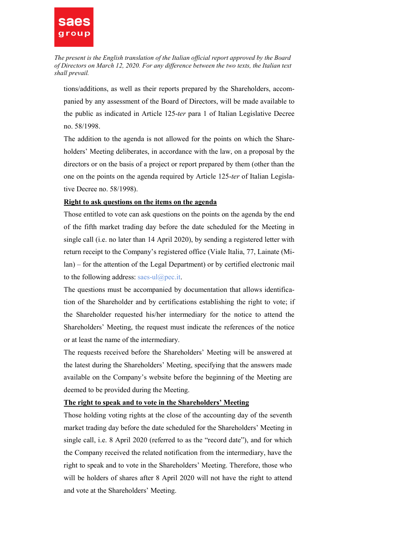

tions/additions, as well as their reports prepared by the Shareholders, accompanied by any assessment of the Board of Directors, will be made available to the public as indicated in Article 125-ter para 1 of Italian Legislative Decree no. 58/1998.

The addition to the agenda is not allowed for the points on which the Shareholders' Meeting deliberates, in accordance with the law, on a proposal by the directors or on the basis of a project or report prepared by them (other than the one on the points on the agenda required by Article 125-ter of Italian Legislative Decree no. 58/1998).

# Right to ask questions on the items on the agenda

Those entitled to vote can ask questions on the points on the agenda by the end of the fifth market trading day before the date scheduled for the Meeting in single call (i.e. no later than 14 April 2020), by sending a registered letter with return receipt to the Company's registered office (Viale Italia, 77, Lainate (Milan) – for the attention of the Legal Department) or by certified electronic mail to the following address: saes-ul $(\partial \text{pec}.\text{it.})$ 

The questions must be accompanied by documentation that allows identification of the Shareholder and by certifications establishing the right to vote; if the Shareholder requested his/her intermediary for the notice to attend the Shareholders' Meeting, the request must indicate the references of the notice or at least the name of the intermediary.

The requests received before the Shareholders' Meeting will be answered at the latest during the Shareholders' Meeting, specifying that the answers made available on the Company's website before the beginning of the Meeting are deemed to be provided during the Meeting.

# The right to speak and to vote in the Shareholders' Meeting

Those holding voting rights at the close of the accounting day of the seventh market trading day before the date scheduled for the Shareholders' Meeting in single call, i.e. 8 April 2020 (referred to as the "record date"), and for which the Company received the related notification from the intermediary, have the right to speak and to vote in the Shareholders' Meeting. Therefore, those who will be holders of shares after 8 April 2020 will not have the right to attend and vote at the Shareholders' Meeting.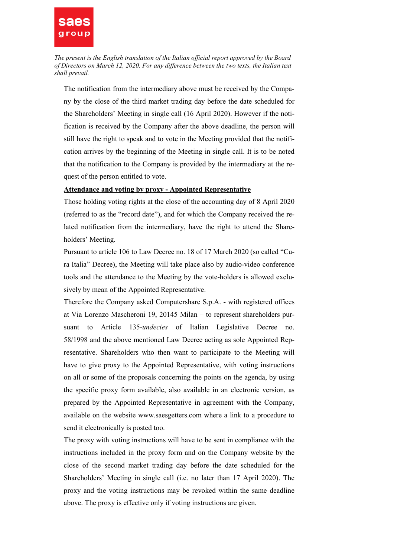

The notification from the intermediary above must be received by the Company by the close of the third market trading day before the date scheduled for the Shareholders' Meeting in single call (16 April 2020). However if the notification is received by the Company after the above deadline, the person will still have the right to speak and to vote in the Meeting provided that the notification arrives by the beginning of the Meeting in single call. It is to be noted that the notification to the Company is provided by the intermediary at the request of the person entitled to vote.

#### Attendance and voting by proxy - Appointed Representative

Those holding voting rights at the close of the accounting day of 8 April 2020 (referred to as the "record date"), and for which the Company received the related notification from the intermediary, have the right to attend the Shareholders' Meeting.

Pursuant to article 106 to Law Decree no. 18 of 17 March 2020 (so called "Cura Italia" Decree), the Meeting will take place also by audio-video conference tools and the attendance to the Meeting by the vote-holders is allowed exclusively by mean of the Appointed Representative.

Therefore the Company asked Computershare S.p.A. - with registered offices at Via Lorenzo Mascheroni 19, 20145 Milan – to represent shareholders pursuant to Article 135-undecies of Italian Legislative Decree no. 58/1998 and the above mentioned Law Decree acting as sole Appointed Representative. Shareholders who then want to participate to the Meeting will have to give proxy to the Appointed Representative, with voting instructions on all or some of the proposals concerning the points on the agenda, by using the specific proxy form available, also available in an electronic version, as prepared by the Appointed Representative in agreement with the Company, available on the website www.saesgetters.com where a link to a procedure to send it electronically is posted too.

The proxy with voting instructions will have to be sent in compliance with the instructions included in the proxy form and on the Company website by the close of the second market trading day before the date scheduled for the Shareholders' Meeting in single call (i.e. no later than 17 April 2020). The proxy and the voting instructions may be revoked within the same deadline above. The proxy is effective only if voting instructions are given.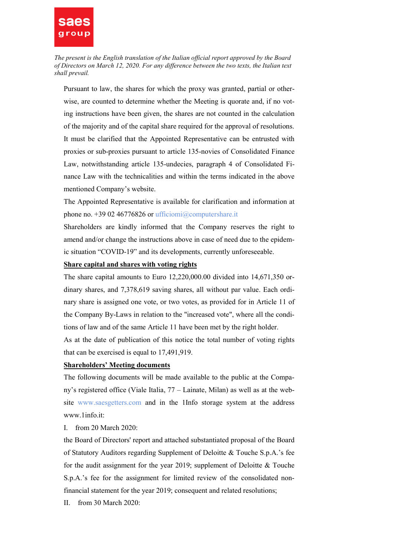

Pursuant to law, the shares for which the proxy was granted, partial or otherwise, are counted to determine whether the Meeting is quorate and, if no voting instructions have been given, the shares are not counted in the calculation of the majority and of the capital share required for the approval of resolutions. It must be clarified that the Appointed Representative can be entrusted with proxies or sub-proxies pursuant to article 135-novies of Consolidated Finance Law, notwithstanding article 135-undecies, paragraph 4 of Consolidated Finance Law with the technicalities and within the terms indicated in the above mentioned Company's website.

The Appointed Representative is available for clarification and information at phone no. +39 02 46776826 or ufficiomi@computershare.it

Shareholders are kindly informed that the Company reserves the right to amend and/or change the instructions above in case of need due to the epidemic situation "COVID-19" and its developments, currently unforeseeable.

### Share capital and shares with voting rights

The share capital amounts to Euro 12,220,000.00 divided into 14,671,350 ordinary shares, and 7,378,619 saving shares, all without par value. Each ordinary share is assigned one vote, or two votes, as provided for in Article 11 of the Company By-Laws in relation to the "increased vote", where all the conditions of law and of the same Article 11 have been met by the right holder.

As at the date of publication of this notice the total number of voting rights that can be exercised is equal to 17,491,919.

## Shareholders' Meeting documents

The following documents will be made available to the public at the Company's registered office (Viale Italia, 77 – Lainate, Milan) as well as at the website www.saesgetters.com and in the 1Info storage system at the address www.1info.it:

I. from 20 March 2020:

the Board of Directors' report and attached substantiated proposal of the Board of Statutory Auditors regarding Supplement of Deloitte & Touche S.p.A.'s fee for the audit assignment for the year 2019; supplement of Deloitte & Touche S.p.A.'s fee for the assignment for limited review of the consolidated nonfinancial statement for the year 2019; consequent and related resolutions;

II. from 30 March 2020: